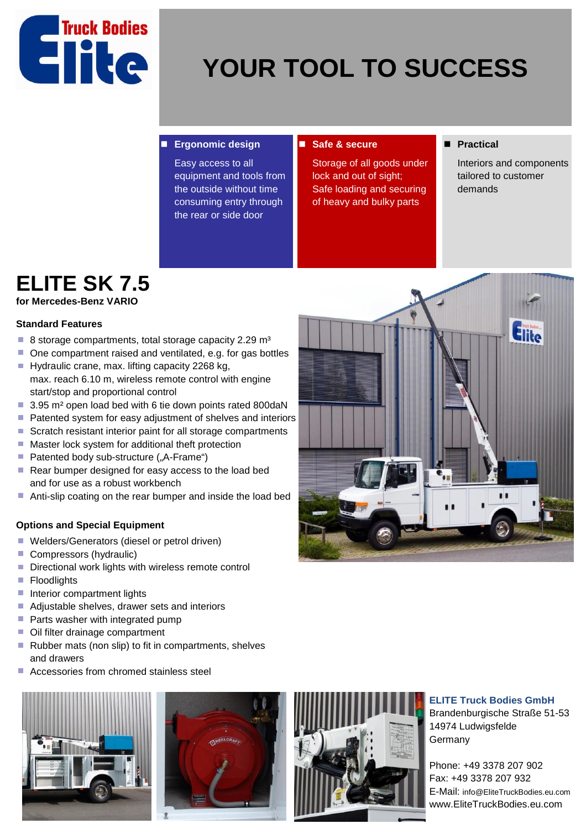

# **YOUR TOOL TO SUCCESS**

### **Ergonomic design**

Easy access to all equipment and tools from the outside without time consuming entry through the rear or side door

#### **Safe & secure**

Storage of all goods under lock and out of sight; Safe loading and securing of heavy and bulky parts

### **Practical**

Interiors and components tailored to customer demands

## **ELITE SK 7.5**

## **for Mercedes-Benz VARIO**

### **Standard Features**

- 8 storage compartments, total storage capacity 2.29 m<sup>3</sup>
- One compartment raised and ventilated, e.g. for gas bottles
- Hydraulic crane, max. lifting capacity 2268 kg, max. reach 6.10 m, wireless remote control with engine start/stop and proportional control
- 3.95 m<sup>2</sup> open load bed with 6 tie down points rated 800daN
- Patented system for easy adjustment of shelves and interiors
- Scratch resistant interior paint for all storage compartments
- Master lock system for additional theft protection
- Patented body sub-structure  $($ "A-Frame")
- Rear bumper designed for easy access to the load bed and for use as a robust workbench
- Anti-slip coating on the rear bumper and inside the load bed

## **Options and Special Equipment**

- Welders/Generators (diesel or petrol driven)
- m. Compressors (hydraulic)
- Directional work lights with wireless remote control
- **Floodlights**
- Interior compartment lights  $\sim$
- Adjustable shelves, drawer sets and interiors
- Parts washer with integrated pump m.
- Oil filter drainage compartment
- Rubber mats (non slip) to fit in compartments, shelves and drawers
- Accessories from chromed stainless steel







## **ELITE Truck Bodies GmbH**

Brandenburgische Straße 51-53 14974 Ludwigsfelde **Germany** 

Phone: +49 3378 207 902 Fax: +49 3378 207 932 E-Mail: info@EliteTruckBodies.eu.com www.EliteTruckBodies.eu.com